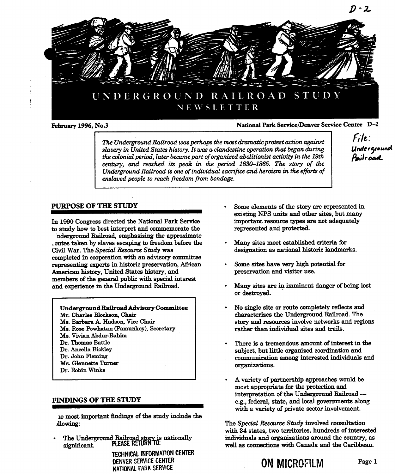

## February 1996, No.3 National Park Service/Denver Service Center D-2

The Underground Railroad was perhaps the most dramatic protest action against The Underground Rauroaa was perhaps the most aramatic process action ugation<br>slavery in United States history. It was a clandestine operation that began during  $\begin{array}{c|c} \textbf{Under} \textbf{ground} \end{array}$ the colonial period, later became part of organized abolitionist activity in the 19th century, and reached its peak in the period 1830–1865. The story of the Underground Railroad is one of individual sacrifice and heroism in the efforts of enslaved people to reach freedom from bondage

 $File$ :

to study how to best interpret and commemorate the represented and protected

nderground Railroad, emphasizing the approximate outes taken by slaves escaping to freedom before the Many sites meet established criteria for Civil War. The Special Resource Study was designation as national historic landmarks. completed in cooperation with an advisory committee representing experts in historic preservation, African Some sites have very high potential for American history, United States history, and **preservation and visitor use**. members of the general public with special interest and experience in the Underground Railroad. **Many sites are in imminent danger of being lost** 

Ms. Rose Powhatan (Pamunkey), Secretary rather than individual sites and trails. Ms. Vivian Abdur-Rahim Dr. Thomas Battle There is a tremendous amount of interest in the Ms. Glennette Turner and the community of the community of the community of the community of the community of the community of the community of the community of the community of the community of the community of the commun

ie most important thidings of the study include the .illowing The Special Resource Study involved consultation

TECHNICAL INFORMATION CENTER DENVER SERVICE CENTER<br> **ON MICROFILM** Page 1 NATIONAL PARK SERVICE

- PURPOSE OF THE STUDY Some elements of the story are represented in existing NPS units and other sites, but many In 1990 Congress directed the National Park Service important resource types are not adequately
	-
	-
	- or destroyed
	- Underground Railroad Advisory Committee No single site or route completely reflects and Mr. Charles Blockson, Chair characterizes the Underground Railroad. The Ms Barbara Hudson Vice Chair story and resources involve networks and regions
	- Dr. Ancella Bickley<br>
	Dr. John Fleming<br>
	Dr. John Fleming<br>
	Subject, but little organized coordination and<br>
	communication among interested individuals communication among interested individuals and
- variety of partnership approaches would be most appropriate for the protection and interpretation of the Underground Railroad FINDINGS OF THE STUDY e.g., federal, state, and local governments along with a variety of private sector involvement.

with 34 states, two territories, hundreds of interested The Underground Railroad story is nationally individuals and organizations around the country, as<br>significant. PLEASE REIURN 10: well as connections with Canada and the Caribbean.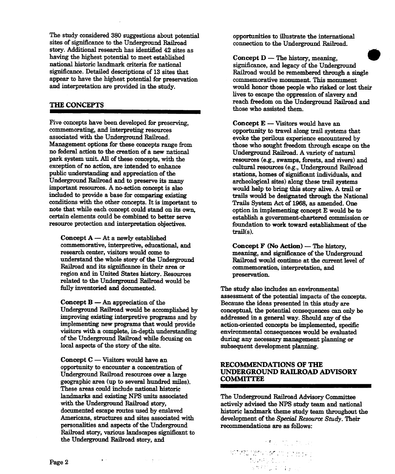The study considered 380 suggestions about potential opportunities to illustrate the international sites of significance to the Underground Railroad connection to the Underground Railroad. story Additional research has identified 42 sites as having the highest potential to meet established  $\blacksquare$  Concept  $D$  — The history, meaning, national historic landmark criteria for national significance, and legacy of the Underground significance. Detailed descriptions of 13 sites that Railroad would be remembered through a single appear to have the highest potential for preservation commemorative monument This monument and interpretation are provided in the study. would honor those people who risked or lost their

Five concepts have been developed for preserving,  $\qquad \qquad \text{Concept E} - \text{Visitors would have an}$ commemorating, and interpreting resources opportunity to travel along trail systems that<br>associated with the Underground Railroad. The contract opportunity to travel along trail systems that<br> $\frac{1}{2}$  evoke the perilous ex Management options for these concepts range from those who sought freedom through escape on the no federal action to the creation of a new national Underground Railroad. A variety of natural park system unit. All of these concepts, with the resources (e.g., swamps, forests, and rivers) and exception of no action, are intended to enhance cultural resources (e.g., Tinderground Railroad exception of no action, are intended to enhance exception of the cultural resources (e.g., Underground Railroad<br>
public understanding and appreciation of the stations, homes of significant individuals, and Underground Railroad and to preserve its many archeological sites) along these trail systems important resources. A no-action concept is also would help to bring this story alive. A trail or included to provide a base for comparing existing trails would be designated through the Nation conditions with the other concepts. It is important to Trails System Act of 1968, as amended. One note that while each concept could stand on its own, option in implementing concept E would be to<br>certain elements could be combined to better serve establish a government-chartered commission resource protection and interpretation objectives. foundation to work toward establishment of the

Concept  $A - At a$  newly established commemorative, interpretive, educational, and  $\begin{array}{c} \textbf{Concept F (No Action)} \textbf{— The history,} \\ \textbf{research center, visitors would come to} \\ \end{array}$ understand the whole story of the Underground Railroad would continue at the current level of Railroad and its significance in their area or commemoration, interpretation, and region and in United States history. Resources preservation. related to the Underground Railroad would be fully inventoried and documented. The study also includes an environmental

**Concept B**  $-$  An appreciation of the Because the ideas presented in this study are Underground Railroad would be accomplished by conceptual, the potential consequences can only improving existing interpretive programs and by addressed in a general way. Should any of the implementing new programs that would provide action-oriented concents be implemented specivisitors with a complete, in-depth understanding environmental consequences would be evaluated of the Underground Railroad while focusing on during any necessary management planning or local aspects of the story of the site. Subsequent development planning.

 $\text{Concept C} \longrightarrow$  Visitors would have an  $\text{RECOMMENDATIONS OF THE}$ Underground Railroad resources over a large example area up to several hundred miles.<br> **COMMITTEE**<br> **COMMITTEE** These areas could include national historic landmarks and existing NPS units associated The Underground Railroad Advisory Committee personalities and aspects of the Underground recommendations are as follows: Railroad story, various landscapes significant to the Underground Railroad story and

 $\Delta\omega = \frac{1}{2} \omega^2 / \omega^2$ 

 $\frac{1}{2}$  ,  $\frac{1}{2}$ 

lives to escape the oppression of slavery and THE CONCEPTS reach freedom on the Underground Railroad and those who assisted them.

> evoke the perilous experience encountered by stations, homes of significant individuals, and trails would be designated through the National establish a government-chartered commission or  $trail(s)$ .

meaning, and significance of the Underground

assessment of the potential impacts of the concepts conceptual, the potential consequences can only be action-oriented concepts be implemented, specific

# UNDERGROUND RAILROAD ADVISORY

with the Underground Railroad story, actively advised the NPS study team and national documented escape routes used by enslaved by historic landmark theme study team throughout the documented escape routes used by enslaved documented escape routes used by enslaved historic landmark theme study team throughout the<br>Americans, structures and sites associated with development of the Special Resource Study. Their development of the Special Resource Study. Their

> $\mathcal{F}(\mathbf{T}) = \left\{ \begin{array}{ll} \mathcal{F}(\mathbf{r}) & \mathcal{F}(\mathbf{r}) \\ \mathcal{F}(\mathbf{r}) & \mathcal{F}(\mathbf{r}) \end{array} \right. \; , \; \mathcal{F}(\mathbf{r}) = \mathcal{F}(\mathbf{r}) \end{array} \right.$ ה ההרכבות והראה לאחר המילה.<br>חלונות 医性有的变体的 的复数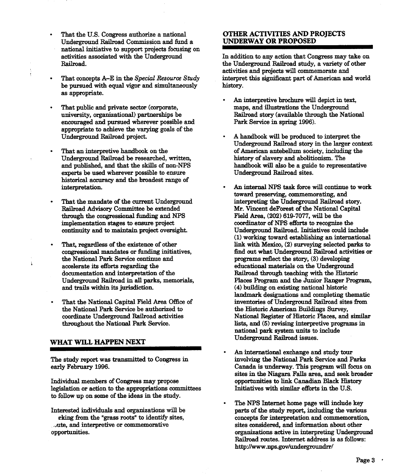- That the U.S. Congress authorize a national **OTHER ACTIVITIES AND PROJECTS**  $\bullet$ Underground Railroad Commission and fund a UNDERWAY OR PROPOSED national initiative to support projects focusing on activities associated with the Underground In addition to any action that Congress may take on
- $\bullet$ be pursued with equal vigor and simultaneously history. as appropriate
- That public and private sector (corporate, maps, and illustrations the Underground university, organizational) partnerships be Railroad story (available through the Nat encouraged and pursued wherever possible and Park Service in spring 1996). appropriate to achieve the varying goals of the
- Underground Railroad be researched, written, history of slavery and abolitionism. The experts be used wherever possible to ensure Underground Railroad sites. historical accuracy and the broadest range of
- through the congressional funding and NPS Field Area, (202) 619-7077, will be the continuity and to maintain project oversight.
- the National Park Service continue and programs reflect the story, (3) developing accelerate its efforts regarding the ducational materials on the Underground and trails within its jurisdiction. (4) building on existing national historic
- the National Park Service be authorized to the Historic American Buildings Survey, coordinate Underground Railroad activities National Register of Historic Places, and

Individual members of Congress may propose opportunities to link Canadian Black History<br>legislation or action to the appropriations committees linitiatives with similar efforts in the U.S. legislation or action to the appropriations committees to follow up on some of the ideas in the study

Railroad. The Underground Railroad study, a variety of other activities and projects will commemorate and That concepts A-E in the Special Resource Study interpret this significant part of American and world

- An interpretive brochure will depict in text Railroad story (available through the National
- A handbook will be produced to interpret the Underground Railroad story in the larger context That an interpretive handbook on the of American antebellum society, including the and published, and that the skills of non-NPS handbook will also be a guide to representative
- interpretation. The An internal NPS task force will continue to work toward preserving, commemorating, and That the mandate of the current Underground interpreting the Underground Railroad story. Railroad Advisory Committee be extended Mr. Vincent deForest of the National Capital implementation stages to ensure project coordinator of NPS efforts to recognize the continuity and to maintain project oversight. Underground Railroad. Initiatives could include (1) working toward establishing an international That, regardless of the existence of other link with Mexico, (2) surveying selected parks to congressional mandates or funding initiatives, find out what Underground Railroad activities or find out what Underground Railroad activities or educational materials on the Underground documentation and interpretation of the Railroad through teaching with the Historic Underground Railroad in all parks, memorials, Places Program and the Junior Ranger Program, landmark designations and completing thematic That the National Capital Field Area Office of inventories of Underground Railroad sites from National Register of Historic Places, and similar throughout the National Park Service.  $\qquad \qquad$  lists, and  $(5)$  revising interpretive programs in national park system units to include WHAT WILL HAPPEN NEXT Underground Railroad issues.
- An international exhange and study tour The study report was transmitted to Congress in involving the National Park Service and Parks early February 1996.<br>Canada is underway. This program will focus o Canada is underway. This program will focus on sites in the Niagara Falls area, and seek broader
- The NPS Internet home page will include key Interested individuals and organizations will be parts of the study report, including the various rking from the "grass roots" to identify sites, concepts for interpretation and commemoration rking from the "grass roots" to identify sites, concepts for interpretation and commemoration,<br>
the and interpretive or commemorative sites considered, and information about other  $\omega$ ute, and interpretive or commemorative sites considered and information about other organizations active in interpreting Undergroup organizations active in interpreting Underground Railroad routes. Internet address is as follows: http//www.nps.gov/undergroundrr/